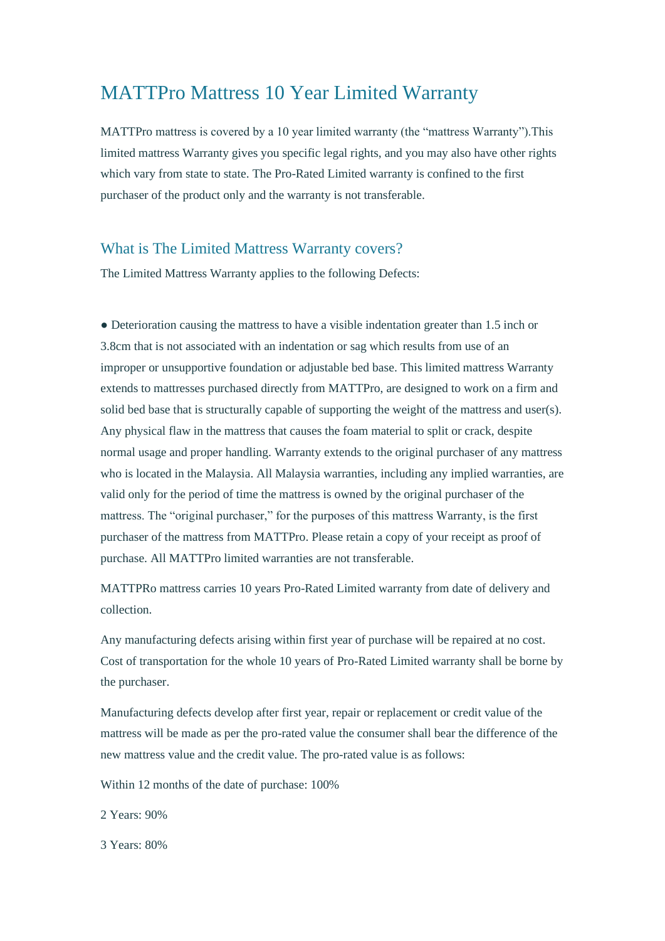## MATTPro Mattress 10 Year Limited Warranty

MATTPro mattress is covered by a 10 year limited warranty (the "mattress Warranty").This limited mattress Warranty gives you specific legal rights, and you may also have other rights which vary from state to state. The Pro-Rated Limited warranty is confined to the first purchaser of the product only and the warranty is not transferable.

## What is The Limited Mattress Warranty covers?

The Limited Mattress Warranty applies to the following Defects:

• Deterioration causing the mattress to have a visible indentation greater than 1.5 inch or 3.8cm that is not associated with an indentation or sag which results from use of an improper or unsupportive foundation or adjustable bed base. This limited mattress Warranty extends to mattresses purchased directly from MATTPro, are designed to work on a firm and solid bed base that is structurally capable of supporting the weight of the mattress and user(s). Any physical flaw in the mattress that causes the foam material to split or crack, despite normal usage and proper handling. Warranty extends to the original purchaser of any mattress who is located in the Malaysia. All Malaysia warranties, including any implied warranties, are valid only for the period of time the mattress is owned by the original purchaser of the mattress. The "original purchaser," for the purposes of this mattress Warranty, is the first purchaser of the mattress from MATTPro. Please retain a copy of your receipt as proof of purchase. All MATTPro limited warranties are not transferable.

MATTPRo mattress carries 10 years Pro-Rated Limited warranty from date of delivery and collection.

Any manufacturing defects arising within first year of purchase will be repaired at no cost. Cost of transportation for the whole 10 years of Pro-Rated Limited warranty shall be borne by the purchaser.

Manufacturing defects develop after first year, repair or replacement or credit value of the mattress will be made as per the pro-rated value the consumer shall bear the difference of the new mattress value and the credit value. The pro-rated value is as follows:

Within 12 months of the date of purchase: 100%

2 Years: 90%

3 Years: 80%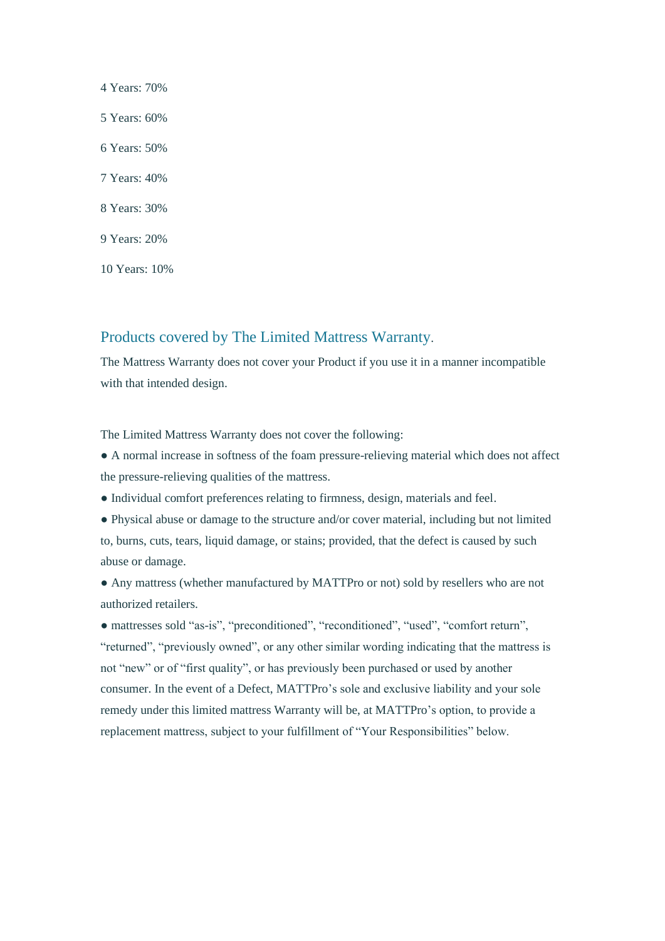4 Years: 70% 5 Years: 60% 6 Years: 50% 7 Years: 40% 8 Years: 30% 9 Years: 20% 10 Years: 10%

## Products covered by The Limited Mattress Warranty.

The Mattress Warranty does not cover your Product if you use it in a manner incompatible with that intended design.

The Limited Mattress Warranty does not cover the following:

● A normal increase in softness of the foam pressure-relieving material which does not affect the pressure-relieving qualities of the mattress.

- Individual comfort preferences relating to firmness, design, materials and feel.
- Physical abuse or damage to the structure and/or cover material, including but not limited to, burns, cuts, tears, liquid damage, or stains; provided, that the defect is caused by such abuse or damage.

● Any mattress (whether manufactured by MATTPro or not) sold by resellers who are not authorized retailers.

● mattresses sold "as-is", "preconditioned", "reconditioned", "used", "comfort return", "returned", "previously owned", or any other similar wording indicating that the mattress is not "new" or of "first quality", or has previously been purchased or used by another consumer. In the event of a Defect, MATTPro's sole and exclusive liability and your sole remedy under this limited mattress Warranty will be, at MATTPro's option, to provide a replacement mattress, subject to your fulfillment of "Your Responsibilities" below.